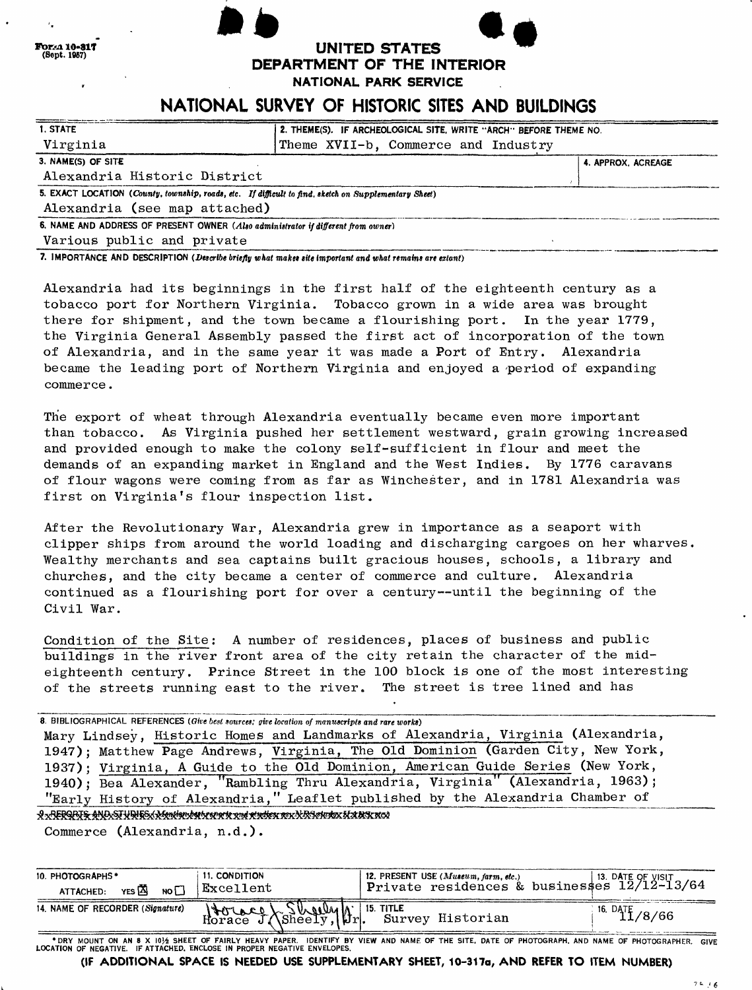| or:A 10-817<br>(Sept. 1957) | UNITED STATES |
|-----------------------------|---------------|
|                             |               |

**DEPARTMENT OF THE INTERIOR**

**NATIONAL PARK SERVICE**

# **NATIONAL SURVEY OF HISTORIC SITES AND BUILDINGS**

| 1. STATE                                                                                              | 2. THEME(S). IF ARCHEOLOGICAL SITE, WRITE "ARCH" BEFORE THEME NO. |                    |  |
|-------------------------------------------------------------------------------------------------------|-------------------------------------------------------------------|--------------------|--|
| Virginia                                                                                              | Theme XVII-b, Commerce and Industry                               |                    |  |
| 3. NAME(S) OF SITE                                                                                    |                                                                   | 4. APPROX. ACREAGE |  |
| Alexandria Historic District                                                                          |                                                                   |                    |  |
| 5. EXACT LOCATION (County, township, roads, etc. If difficult to find, sketch on Supplementary Sheet) |                                                                   |                    |  |
| Alexandria (see map attached)                                                                         |                                                                   |                    |  |
| 6. NAME AND ADDRESS OF PRESENT OWNER (Also administrator if different from owner)                     |                                                                   |                    |  |
| Various public and private                                                                            |                                                                   |                    |  |

7. IMPORTANCE AND DESCRIPTION *(Describe briefly what maket tite Important and what remains are extant)*

**PorAa 10-817**<br>(Sept. 1957)

Alexandria had its beginnings in the first half of the eighteenth century as a tobacco port for Northern Virginia. Tobacco grown in a wide area was brought there for shipment, and the town became a flourishing port. In the year 1779, the Virginia General Assembly passed the first act of incorporation of the town of Alexandria, and in the same year it was made a Port of Entry. Alexandria became the leading port of Northern Virginia and enjoyed a 'period of expanding commerce.

The export of wheat through Alexandria eventually became even more important than tobacco. As Virginia pushed her settlement westward, grain growing increased and provided enough to make the colony self-sufficient in flour and meet the demands of an expanding market in England and the West Indies. By 1776 caravans of flour wagons were coming from as far as Winchester, and in 1781 Alexandria was first on Virginia's flour inspection list.

After the Revolutionary War, Alexandria grew in importance as a seaport with clipper ships from around the world loading and discharging cargoes on her wharves, Wealthy merchants and sea captains built gracious houses, schools, a library and churches, and the city became a center of commerce and culture. Alexandria continued as a flourishing port for over a century--until the beginning of the Civil War.

Condition of the Site; A number of residences, places of business and public buildings in the river front area of the city retain the character of the mideighteenth century. Prince Street in the 100 block is one of the most interesting of the streets running east to the river. The street is tree lined and has

8. BIBLIOGRAPHICAL REFERENCES *(Owe best sources; give location of manuscripts and rare works)* Mary Lindsey, Historic Homes and Landmarks of Alexandria, Virginia (Alexandria, 1947); Matthew Page Andrews, Virginia, The Old Dominion (Garden City, New York, 1937); Virginia, A Guide to the Old Dominion, American Guide Series (New York, 1940); Bea Alexander, "Rambling Thru Alexandria, Virginia" (Alexandria, 1963); "Early History of Alexandria," Leaflet published by the Alexandria Chamber of & REBORI& AND STUDIE X Mention boot x syn te x nd rindien nex N R September H A BSK N CA

Commerce (Alexandria, n.d.).

| 10. PHOTOGRAPHS *<br>NO<br>YES A<br>ATTACHED: | <b>11. CONDITION</b><br>$\mathop{\mathtt{Excellent}}$ | $\mid$ private residences & businesses $12/12-13/64$ |
|-----------------------------------------------|-------------------------------------------------------|------------------------------------------------------|
| 14. NAME OF RECORDER (Signature)              | Howel Sheely, Or Survey Historian<br>Horace J.        | $16. \text{ DATF}$ /8/66                             |

\* DRY MOUNT ON AN 8 X 101/2 SHEET OF FAIRLY HEAVY PAPER. IDENTIFY BY VIEW AND NAME OF THE SITE, DATE OF PHOTOGRAPH, AND NAME OF PHOTOGRAPHER. GIVE<br>LOCATION OF NEGATIVE. IF ATTACHED, ENCLOSE IN PROPER NEGATIVE ENVELOPES.

**(IF ADDITIONAL SPACE IS NEEDED USE SUPPLEMENTARY SHEET, 10-317o, AND REFER TO ITEM NUMBER)**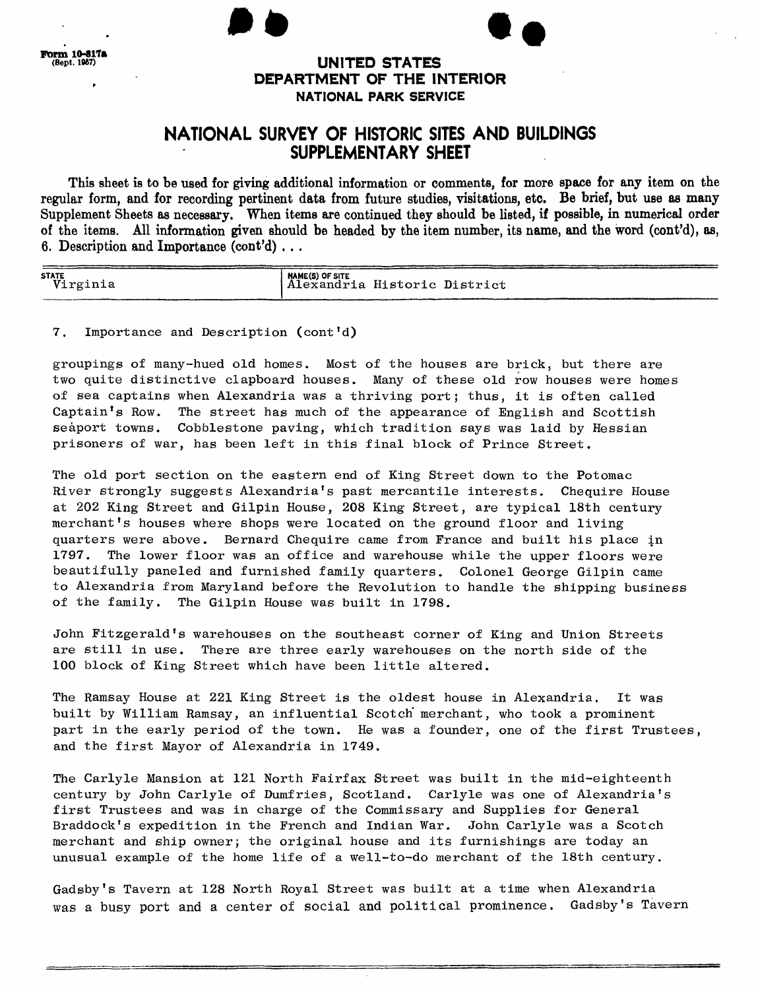### **UNITED STATES DEPARTMENT OF THE INTERIOR NATIONAL PARK SERVICE**

### **NATIONAL SURVEY OF HISTORIC SITES AND BUILDINGS SUPPLEMENTARY SHEET**

This sheet is to be used for giving additional information or comments, for more space for any item on the regular form, and for recording pertinent data from future studies, visitations, etc. Be brief, but use as many Supplement Sheets as necessary. When items are continued they should be listed, if possible, in numerical order of the items. All information given should be headed by the item number, its name, and the word (cont'd), as, 6. Description and Importance (cont'd) . . .

| <b>STATE</b> | NAME(S) OF SITE              |
|--------------|------------------------------|
| Virginia     | Alexandria Historic District |

### 7. Importance and Description (cont'd)

groupings of many-hued old homes. Most of the houses are brick, but there are two quite distinctive clapboard houses. Many of these old row houses were homes of sea captains when Alexandria was a thriving port; thus, it is often called Captain\*s Row. The street has much of the appearance of English and Scottish seaport towns. Cobblestone paving, which tradition says was laid by Hessian prisoners of war, has been left in this final block of Prince Street.

The old port section on the eastern end of King Street down to the Potomac River strongly suggests Alexandria's past mercantile interests. Chequire House at 202 King Street and Gilpin House, 208 King Street, are typical 18th century merchant's houses where shops were located on the ground floor and living quarters were above. Bernard Chequire came from France and built his place in 1797. The lower floor was an office and warehouse while the upper floors were beautifully paneled and furnished family quarters. Colonel George Gilpin came to Alexandria from Maryland before the Revolution to handle the shipping business of the family. The Gilpin House was built in 1798.

John Fitzgerald's warehouses on the southeast corner of King and Union Streets are still in use. There are three early warehouses on the north side of the 100 block of King Street which have been little altered.

The Ramsay House at 221 King Street is the oldest house in Alexandria. It was built by William Ramsay, an influential Scotch' merchant, who took a prominent part in the early period of the town. He was a founder, one of the first Trustees, and the first Mayor of Alexandria in 1749.

The Carlyle Mansion at 121 North Fairfax Street was built in the mid-eighteenth century by John Carlyle of Dumfries, Scotland. Carlyle was one of Alexandria's first Trustees and was in charge of the Commissary and Supplies for General Braddock's expedition in the French and Indian War. John Carlyle was a Scotch merchant and ship owner; the original house and its furnishings are today an unusual example of the home life of a well-to-do merchant of the 18th century,

Gadsby's Tavern at 128 North Royal Street was built at a time when Alexandria was a busy port and a center of social and political prominence. Gadsby's Tavern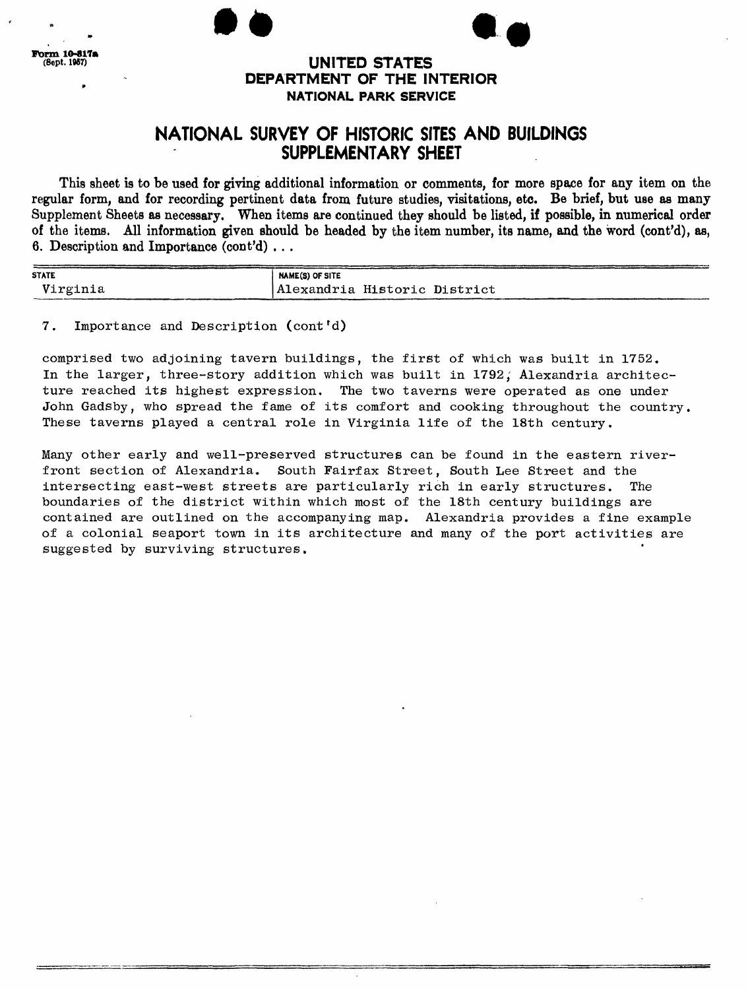### (Sept. 1967) **UNITED STATES DEPARTMENT OF THE INTERIOR NATIONAL PARK SERVICE**

# **NATIONAL SURVEY OF HISTORIC SITES AND BUILDINGS SUPPLEMENTARY SHEET**

This sheet is to be used for giving additional information or comments, for more space for any item on the regular form, and for recording pertinent data from future studies, visitations, etc. Be brief, but use as many Supplement Sheets as necessary. When items are continued they should be listed, if possible, in numerical order of the items. All information given should be headed by the item number, its name, and the word (cont'd), as, 6. Description and Importance (cont'd) . . .

| <b>STATE</b> | <b>NAME(S) OF SITE</b>       |  |
|--------------|------------------------------|--|
| Virginia     | Alexandria Historic District |  |

#### 7. Importance and Description (cont'd)

comprised two adjoining tavern buildings, the first of which was built in 1752. In the larger, three-story addition which was built in 1792, Alexandria architecture reached its highest expression. The two taverns were operated as one under John Gadsby, who spread the fame of its comfort and cooking throughout the country. These taverns played a central role in Virginia life of the 18th century.

Many other early and well-preserved structures can be found in the eastern riverfront section of Alexandria, South Fairfax Street, South Lee Street and the intersecting east-west streets are particularly rich in early structures. The boundaries of the district within which most of the 18th century buildings are contained are outlined on the accompanying map, Alexandria provides a fine example of a colonial seaport town in its architecture and many of the port activities are suggested by surviving structures.